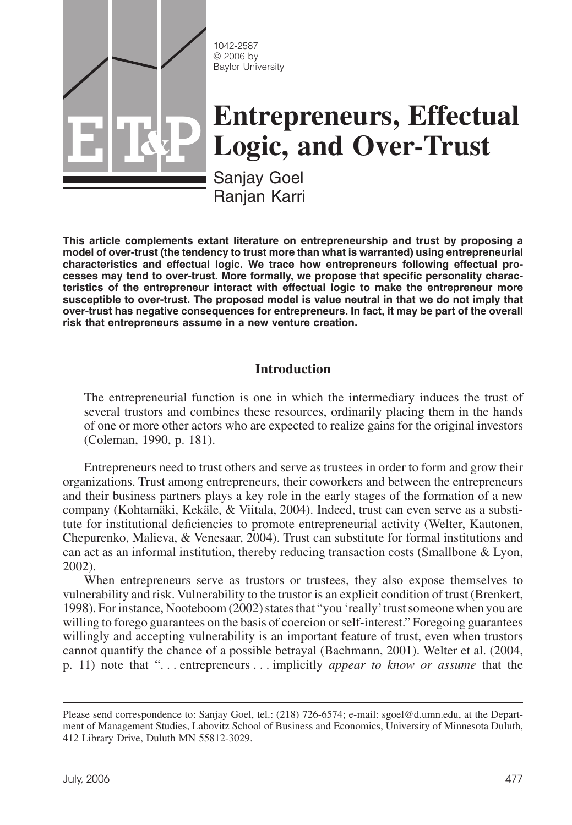

**This article complements extant literature on entrepreneurship and trust by proposing a model of over-trust (the tendency to trust more than what is warranted) using entrepreneurial characteristics and effectual logic. We trace how entrepreneurs following effectual processes may tend to over-trust. More formally, we propose that specific personality characteristics of the entrepreneur interact with effectual logic to make the entrepreneur more susceptible to over-trust. The proposed model is value neutral in that we do not imply that over-trust has negative consequences for entrepreneurs. In fact, it may be part of the overall risk that entrepreneurs assume in a new venture creation.**

# **Introduction**

The entrepreneurial function is one in which the intermediary induces the trust of several trustors and combines these resources, ordinarily placing them in the hands of one or more other actors who are expected to realize gains for the original investors (Coleman, 1990, p. 181).

Entrepreneurs need to trust others and serve as trustees in order to form and grow their organizations. Trust among entrepreneurs, their coworkers and between the entrepreneurs and their business partners plays a key role in the early stages of the formation of a new company (Kohtamäki, Kekäle, & Viitala, 2004). Indeed, trust can even serve as a substitute for institutional deficiencies to promote entrepreneurial activity (Welter, Kautonen, Chepurenko, Malieva, & Venesaar, 2004). Trust can substitute for formal institutions and can act as an informal institution, thereby reducing transaction costs (Smallbone & Lyon, 2002).

When entrepreneurs serve as trustors or trustees, they also expose themselves to vulnerability and risk. Vulnerability to the trustor is an explicit condition of trust (Brenkert, 1998). For instance, Nooteboom (2002) states that "you 'really'trust someone when you are willing to forego guarantees on the basis of coercion or self-interest." Foregoing guarantees willingly and accepting vulnerability is an important feature of trust, even when trustors cannot quantify the chance of a possible betrayal (Bachmann, 2001). Welter et al. (2004, p. 11) note that ". . . entrepreneurs... implicitly *appear to know or assume* that the

Please send correspondence to: Sanjay Goel, tel.: (218) 726-6574; e-mail: [sgoel@d.umn.edu,](mailto:sgoel@d.umn.edu) at the Department of Management Studies, Labovitz School of Business and Economics, University of Minnesota Duluth, 412 Library Drive, Duluth MN 55812-3029.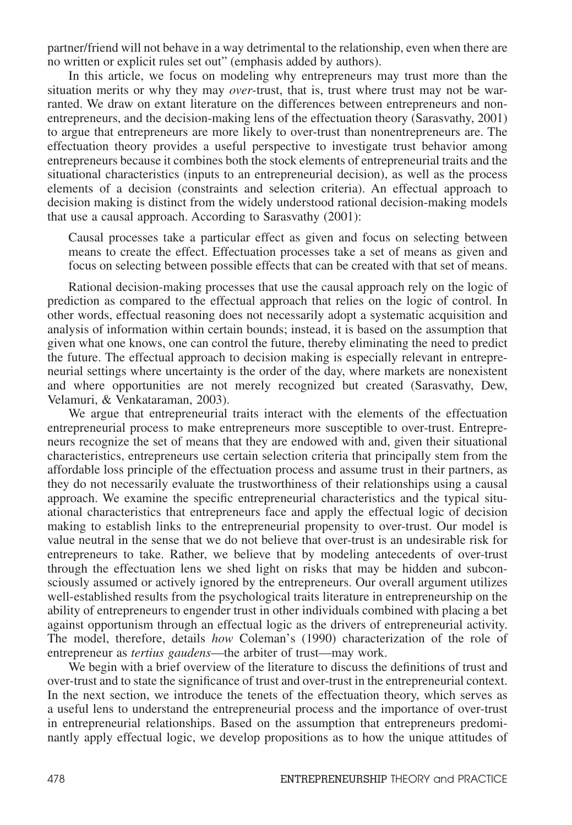partner/friend will not behave in a way detrimental to the relationship, even when there are no written or explicit rules set out" (emphasis added by authors).

In this article, we focus on modeling why entrepreneurs may trust more than the situation merits or why they may *over*-trust, that is, trust where trust may not be warranted. We draw on extant literature on the differences between entrepreneurs and nonentrepreneurs, and the decision-making lens of the effectuation theory (Sarasvathy, 2001) to argue that entrepreneurs are more likely to over-trust than nonentrepreneurs are. The effectuation theory provides a useful perspective to investigate trust behavior among entrepreneurs because it combines both the stock elements of entrepreneurial traits and the situational characteristics (inputs to an entrepreneurial decision), as well as the process elements of a decision (constraints and selection criteria). An effectual approach to decision making is distinct from the widely understood rational decision-making models that use a causal approach. According to Sarasvathy (2001):

Causal processes take a particular effect as given and focus on selecting between means to create the effect. Effectuation processes take a set of means as given and focus on selecting between possible effects that can be created with that set of means.

Rational decision-making processes that use the causal approach rely on the logic of prediction as compared to the effectual approach that relies on the logic of control. In other words, effectual reasoning does not necessarily adopt a systematic acquisition and analysis of information within certain bounds; instead, it is based on the assumption that given what one knows, one can control the future, thereby eliminating the need to predict the future. The effectual approach to decision making is especially relevant in entrepreneurial settings where uncertainty is the order of the day, where markets are nonexistent and where opportunities are not merely recognized but created (Sarasvathy, Dew, Velamuri, & Venkataraman, 2003).

We argue that entrepreneurial traits interact with the elements of the effectuation entrepreneurial process to make entrepreneurs more susceptible to over-trust. Entrepreneurs recognize the set of means that they are endowed with and, given their situational characteristics, entrepreneurs use certain selection criteria that principally stem from the affordable loss principle of the effectuation process and assume trust in their partners, as they do not necessarily evaluate the trustworthiness of their relationships using a causal approach. We examine the specific entrepreneurial characteristics and the typical situational characteristics that entrepreneurs face and apply the effectual logic of decision making to establish links to the entrepreneurial propensity to over-trust. Our model is value neutral in the sense that we do not believe that over-trust is an undesirable risk for entrepreneurs to take. Rather, we believe that by modeling antecedents of over-trust through the effectuation lens we shed light on risks that may be hidden and subconsciously assumed or actively ignored by the entrepreneurs. Our overall argument utilizes well-established results from the psychological traits literature in entrepreneurship on the ability of entrepreneurs to engender trust in other individuals combined with placing a bet against opportunism through an effectual logic as the drivers of entrepreneurial activity. The model, therefore, details *how* Coleman's (1990) characterization of the role of entrepreneur as *tertius gaudens*––the arbiter of trust––may work.

We begin with a brief overview of the literature to discuss the definitions of trust and over-trust and to state the significance of trust and over-trust in the entrepreneurial context. In the next section, we introduce the tenets of the effectuation theory, which serves as a useful lens to understand the entrepreneurial process and the importance of over-trust in entrepreneurial relationships. Based on the assumption that entrepreneurs predominantly apply effectual logic, we develop propositions as to how the unique attitudes of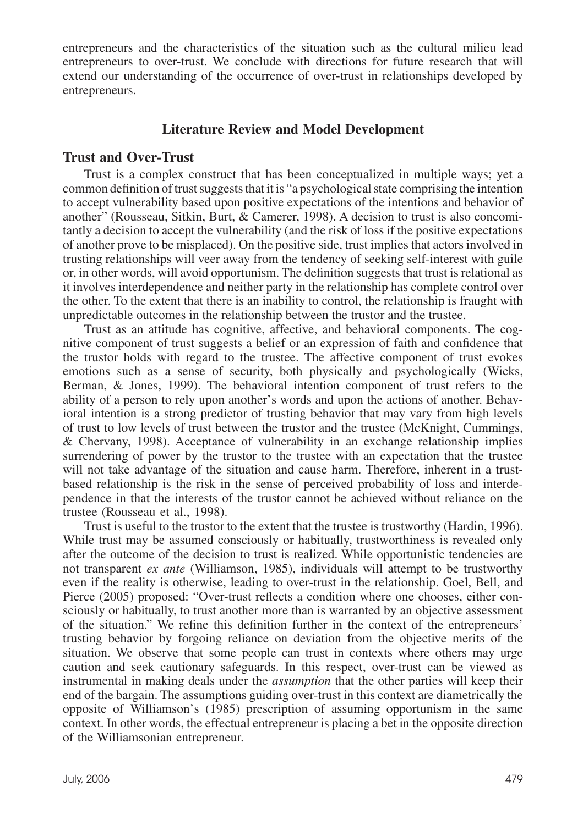entrepreneurs and the characteristics of the situation such as the cultural milieu lead entrepreneurs to over-trust. We conclude with directions for future research that will extend our understanding of the occurrence of over-trust in relationships developed by entrepreneurs.

#### **Literature Review and Model Development**

#### **Trust and Over-Trust**

Trust is a complex construct that has been conceptualized in multiple ways; yet a common definition of trust suggests that it is "a psychological state comprising the intention to accept vulnerability based upon positive expectations of the intentions and behavior of another" (Rousseau, Sitkin, Burt, & Camerer, 1998). A decision to trust is also concomitantly a decision to accept the vulnerability (and the risk of loss if the positive expectations of another prove to be misplaced). On the positive side, trust implies that actors involved in trusting relationships will veer away from the tendency of seeking self-interest with guile or, in other words, will avoid opportunism. The definition suggests that trust is relational as it involves interdependence and neither party in the relationship has complete control over the other. To the extent that there is an inability to control, the relationship is fraught with unpredictable outcomes in the relationship between the trustor and the trustee.

Trust as an attitude has cognitive, affective, and behavioral components. The cognitive component of trust suggests a belief or an expression of faith and confidence that the trustor holds with regard to the trustee. The affective component of trust evokes emotions such as a sense of security, both physically and psychologically (Wicks, Berman, & Jones, 1999). The behavioral intention component of trust refers to the ability of a person to rely upon another's words and upon the actions of another. Behavioral intention is a strong predictor of trusting behavior that may vary from high levels of trust to low levels of trust between the trustor and the trustee (McKnight, Cummings, & Chervany, 1998). Acceptance of vulnerability in an exchange relationship implies surrendering of power by the trustor to the trustee with an expectation that the trustee will not take advantage of the situation and cause harm. Therefore, inherent in a trustbased relationship is the risk in the sense of perceived probability of loss and interdependence in that the interests of the trustor cannot be achieved without reliance on the trustee (Rousseau et al., 1998).

Trust is useful to the trustor to the extent that the trustee is trustworthy (Hardin, 1996). While trust may be assumed consciously or habitually, trustworthiness is revealed only after the outcome of the decision to trust is realized. While opportunistic tendencies are not transparent *ex ante* (Williamson, 1985), individuals will attempt to be trustworthy even if the reality is otherwise, leading to over-trust in the relationship. Goel, Bell, and Pierce (2005) proposed: "Over-trust reflects a condition where one chooses, either consciously or habitually, to trust another more than is warranted by an objective assessment of the situation." We refine this definition further in the context of the entrepreneurs' trusting behavior by forgoing reliance on deviation from the objective merits of the situation. We observe that some people can trust in contexts where others may urge caution and seek cautionary safeguards. In this respect, over-trust can be viewed as instrumental in making deals under the *assumption* that the other parties will keep their end of the bargain. The assumptions guiding over-trust in this context are diametrically the opposite of Williamson's (1985) prescription of assuming opportunism in the same context. In other words, the effectual entrepreneur is placing a bet in the opposite direction of the Williamsonian entrepreneur.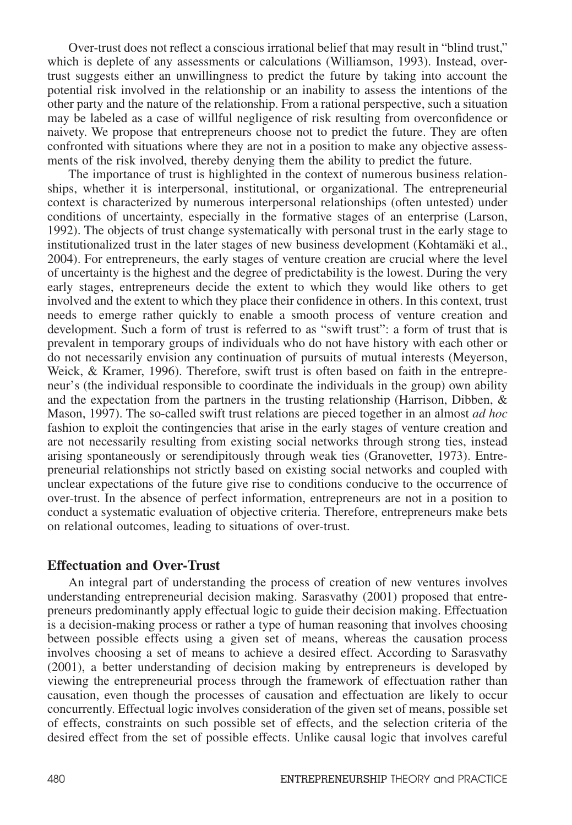Over-trust does not reflect a conscious irrational belief that may result in "blind trust," which is deplete of any assessments or calculations (Williamson, 1993). Instead, overtrust suggests either an unwillingness to predict the future by taking into account the potential risk involved in the relationship or an inability to assess the intentions of the other party and the nature of the relationship. From a rational perspective, such a situation may be labeled as a case of willful negligence of risk resulting from overconfidence or naivety. We propose that entrepreneurs choose not to predict the future. They are often confronted with situations where they are not in a position to make any objective assessments of the risk involved, thereby denying them the ability to predict the future.

The importance of trust is highlighted in the context of numerous business relationships, whether it is interpersonal, institutional, or organizational. The entrepreneurial context is characterized by numerous interpersonal relationships (often untested) under conditions of uncertainty, especially in the formative stages of an enterprise (Larson, 1992). The objects of trust change systematically with personal trust in the early stage to institutionalized trust in the later stages of new business development (Kohtamäki et al., 2004). For entrepreneurs, the early stages of venture creation are crucial where the level of uncertainty is the highest and the degree of predictability is the lowest. During the very early stages, entrepreneurs decide the extent to which they would like others to get involved and the extent to which they place their confidence in others. In this context, trust needs to emerge rather quickly to enable a smooth process of venture creation and development. Such a form of trust is referred to as "swift trust": a form of trust that is prevalent in temporary groups of individuals who do not have history with each other or do not necessarily envision any continuation of pursuits of mutual interests (Meyerson, Weick, & Kramer, 1996). Therefore, swift trust is often based on faith in the entrepreneur's (the individual responsible to coordinate the individuals in the group) own ability and the expectation from the partners in the trusting relationship (Harrison, Dibben,  $\&$ Mason, 1997). The so-called swift trust relations are pieced together in an almost *ad hoc* fashion to exploit the contingencies that arise in the early stages of venture creation and are not necessarily resulting from existing social networks through strong ties, instead arising spontaneously or serendipitously through weak ties (Granovetter, 1973). Entrepreneurial relationships not strictly based on existing social networks and coupled with unclear expectations of the future give rise to conditions conducive to the occurrence of over-trust. In the absence of perfect information, entrepreneurs are not in a position to conduct a systematic evaluation of objective criteria. Therefore, entrepreneurs make bets on relational outcomes, leading to situations of over-trust.

#### **Effectuation and Over-Trust**

An integral part of understanding the process of creation of new ventures involves understanding entrepreneurial decision making. Sarasvathy (2001) proposed that entrepreneurs predominantly apply effectual logic to guide their decision making. Effectuation is a decision-making process or rather a type of human reasoning that involves choosing between possible effects using a given set of means, whereas the causation process involves choosing a set of means to achieve a desired effect. According to Sarasvathy (2001), a better understanding of decision making by entrepreneurs is developed by viewing the entrepreneurial process through the framework of effectuation rather than causation, even though the processes of causation and effectuation are likely to occur concurrently. Effectual logic involves consideration of the given set of means, possible set of effects, constraints on such possible set of effects, and the selection criteria of the desired effect from the set of possible effects. Unlike causal logic that involves careful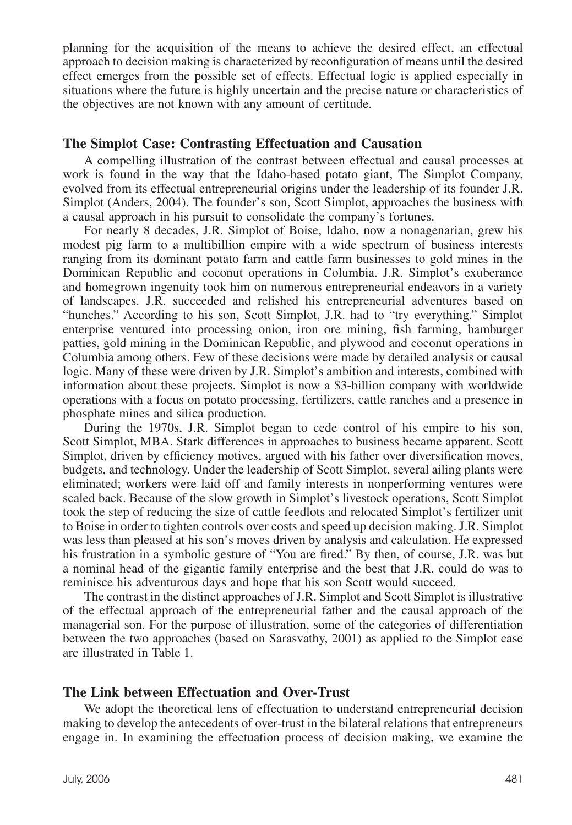planning for the acquisition of the means to achieve the desired effect, an effectual approach to decision making is characterized by reconfiguration of means until the desired effect emerges from the possible set of effects. Effectual logic is applied especially in situations where the future is highly uncertain and the precise nature or characteristics of the objectives are not known with any amount of certitude.

# **The Simplot Case: Contrasting Effectuation and Causation**

A compelling illustration of the contrast between effectual and causal processes at work is found in the way that the Idaho-based potato giant, The Simplot Company, evolved from its effectual entrepreneurial origins under the leadership of its founder J.R. Simplot (Anders, 2004). The founder's son, Scott Simplot, approaches the business with a causal approach in his pursuit to consolidate the company's fortunes.

For nearly 8 decades, J.R. Simplot of Boise, Idaho, now a nonagenarian, grew his modest pig farm to a multibillion empire with a wide spectrum of business interests ranging from its dominant potato farm and cattle farm businesses to gold mines in the Dominican Republic and coconut operations in Columbia. J.R. Simplot's exuberance and homegrown ingenuity took him on numerous entrepreneurial endeavors in a variety of landscapes. J.R. succeeded and relished his entrepreneurial adventures based on "hunches." According to his son, Scott Simplot, J.R. had to "try everything." Simplot enterprise ventured into processing onion, iron ore mining, fish farming, hamburger patties, gold mining in the Dominican Republic, and plywood and coconut operations in Columbia among others. Few of these decisions were made by detailed analysis or causal logic. Many of these were driven by J.R. Simplot's ambition and interests, combined with information about these projects. Simplot is now a \$3-billion company with worldwide operations with a focus on potato processing, fertilizers, cattle ranches and a presence in phosphate mines and silica production.

During the 1970s, J.R. Simplot began to cede control of his empire to his son, Scott Simplot, MBA. Stark differences in approaches to business became apparent. Scott Simplot, driven by efficiency motives, argued with his father over diversification moves, budgets, and technology. Under the leadership of Scott Simplot, several ailing plants were eliminated; workers were laid off and family interests in nonperforming ventures were scaled back. Because of the slow growth in Simplot's livestock operations, Scott Simplot took the step of reducing the size of cattle feedlots and relocated Simplot's fertilizer unit to Boise in order to tighten controls over costs and speed up decision making. J.R. Simplot was less than pleased at his son's moves driven by analysis and calculation. He expressed his frustration in a symbolic gesture of "You are fired." By then, of course, J.R. was but a nominal head of the gigantic family enterprise and the best that J.R. could do was to reminisce his adventurous days and hope that his son Scott would succeed.

The contrast in the distinct approaches of J.R. Simplot and Scott Simplot is illustrative of the effectual approach of the entrepreneurial father and the causal approach of the managerial son. For the purpose of illustration, some of the categories of differentiation between the two approaches (based on Sarasvathy, 2001) as applied to the Simplot case are illustrated in Table 1.

#### **The Link between Effectuation and Over-Trust**

We adopt the theoretical lens of effectuation to understand entrepreneurial decision making to develop the antecedents of over-trust in the bilateral relations that entrepreneurs engage in. In examining the effectuation process of decision making, we examine the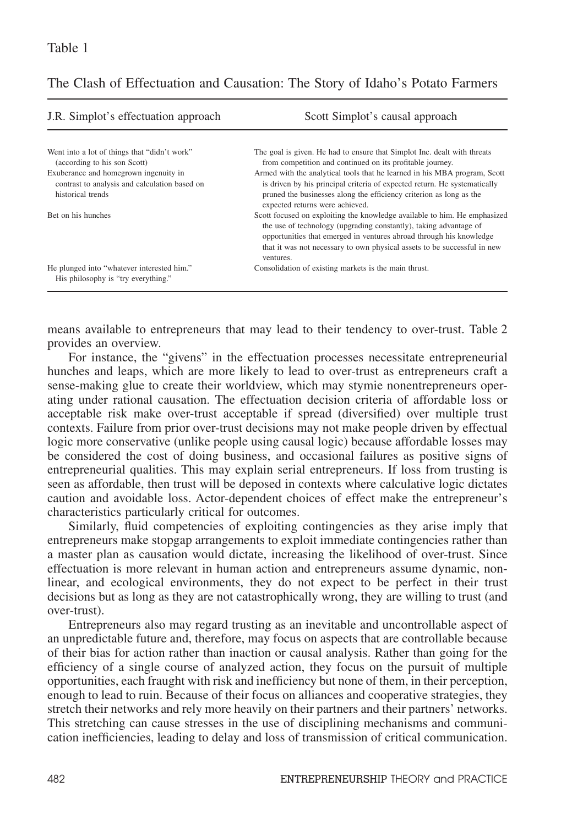| J.R. Simplot's effectuation approach                                                                        | Scott Simplot's causal approach                                                                                                                                                                                                                                                                                |
|-------------------------------------------------------------------------------------------------------------|----------------------------------------------------------------------------------------------------------------------------------------------------------------------------------------------------------------------------------------------------------------------------------------------------------------|
|                                                                                                             |                                                                                                                                                                                                                                                                                                                |
| Went into a lot of things that "didn't work"<br>(according to his son Scott)                                | The goal is given. He had to ensure that Simplot Inc. dealt with threats<br>from competition and continued on its profitable journey.                                                                                                                                                                          |
| Exuberance and homegrown ingenuity in<br>contrast to analysis and calculation based on<br>historical trends | Armed with the analytical tools that he learned in his MBA program, Scott<br>is driven by his principal criteria of expected return. He systematically<br>pruned the businesses along the efficiency criterion as long as the<br>expected returns were achieved.                                               |
| Bet on his hunches                                                                                          | Scott focused on exploiting the knowledge available to him. He emphasized<br>the use of technology (upgrading constantly), taking advantage of<br>opportunities that emerged in ventures abroad through his knowledge<br>that it was not necessary to own physical assets to be successful in new<br>ventures. |
| He plunged into "whatever interested him."<br>His philosophy is "try everything."                           | Consolidation of existing markets is the main thrust.                                                                                                                                                                                                                                                          |

# The Clash of Effectuation and Causation: The Story of Idaho's Potato Farmers

means available to entrepreneurs that may lead to their tendency to over-trust. Table 2 provides an overview.

For instance, the "givens" in the effectuation processes necessitate entrepreneurial hunches and leaps, which are more likely to lead to over-trust as entrepreneurs craft a sense-making glue to create their worldview, which may stymie nonentrepreneurs operating under rational causation. The effectuation decision criteria of affordable loss or acceptable risk make over-trust acceptable if spread (diversified) over multiple trust contexts. Failure from prior over-trust decisions may not make people driven by effectual logic more conservative (unlike people using causal logic) because affordable losses may be considered the cost of doing business, and occasional failures as positive signs of entrepreneurial qualities. This may explain serial entrepreneurs. If loss from trusting is seen as affordable, then trust will be deposed in contexts where calculative logic dictates caution and avoidable loss. Actor-dependent choices of effect make the entrepreneur's characteristics particularly critical for outcomes.

Similarly, fluid competencies of exploiting contingencies as they arise imply that entrepreneurs make stopgap arrangements to exploit immediate contingencies rather than a master plan as causation would dictate, increasing the likelihood of over-trust. Since effectuation is more relevant in human action and entrepreneurs assume dynamic, nonlinear, and ecological environments, they do not expect to be perfect in their trust decisions but as long as they are not catastrophically wrong, they are willing to trust (and over-trust).

Entrepreneurs also may regard trusting as an inevitable and uncontrollable aspect of an unpredictable future and, therefore, may focus on aspects that are controllable because of their bias for action rather than inaction or causal analysis. Rather than going for the efficiency of a single course of analyzed action, they focus on the pursuit of multiple opportunities, each fraught with risk and inefficiency but none of them, in their perception, enough to lead to ruin. Because of their focus on alliances and cooperative strategies, they stretch their networks and rely more heavily on their partners and their partners' networks. This stretching can cause stresses in the use of disciplining mechanisms and communication inefficiencies, leading to delay and loss of transmission of critical communication.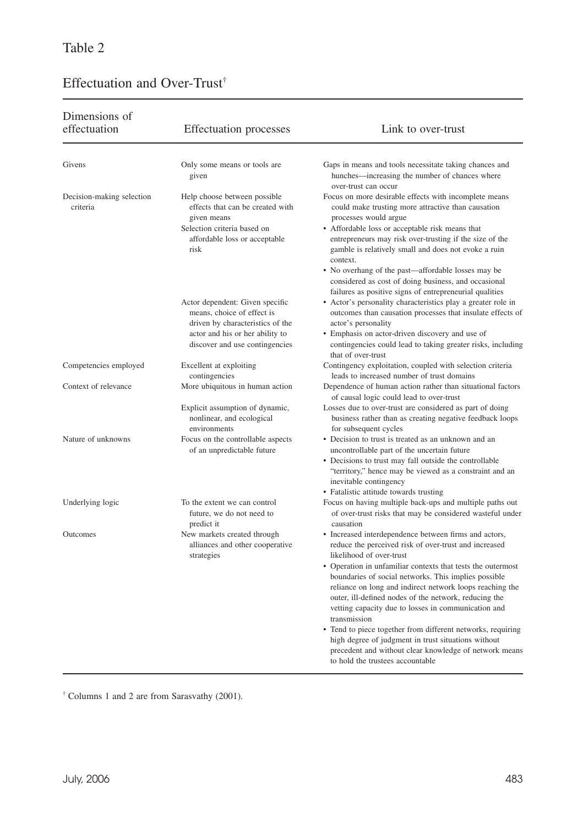| Dimensions of<br>effectuation         | <b>Effectuation</b> processes                                                                                  | Link to over-trust                                                                                                                                                                                                                                                                                              |
|---------------------------------------|----------------------------------------------------------------------------------------------------------------|-----------------------------------------------------------------------------------------------------------------------------------------------------------------------------------------------------------------------------------------------------------------------------------------------------------------|
| Givens                                | Only some means or tools are<br>given                                                                          | Gaps in means and tools necessitate taking chances and<br>hunches—increasing the number of chances where<br>over-trust can occur                                                                                                                                                                                |
| Decision-making selection<br>criteria | Help choose between possible<br>effects that can be created with<br>given means<br>Selection criteria based on | Focus on more desirable effects with incomplete means<br>could make trusting more attractive than causation<br>processes would argue<br>• Affordable loss or acceptable risk means that                                                                                                                         |
|                                       | affordable loss or acceptable<br>risk                                                                          | entrepreneurs may risk over-trusting if the size of the<br>gamble is relatively small and does not evoke a ruin<br>context.<br>• No overhang of the past—affordable losses may be                                                                                                                               |
|                                       |                                                                                                                | considered as cost of doing business, and occasional<br>failures as positive signs of entrepreneurial qualities                                                                                                                                                                                                 |
|                                       | Actor dependent: Given specific<br>means, choice of effect is<br>driven by characteristics of the              | • Actor's personality characteristics play a greater role in<br>outcomes than causation processes that insulate effects of<br>actor's personality                                                                                                                                                               |
|                                       | actor and his or her ability to<br>discover and use contingencies                                              | • Emphasis on actor-driven discovery and use of<br>contingencies could lead to taking greater risks, including<br>that of over-trust                                                                                                                                                                            |
| Competencies employed                 | Excellent at exploiting<br>contingencies                                                                       | Contingency exploitation, coupled with selection criteria<br>leads to increased number of trust domains                                                                                                                                                                                                         |
| Context of relevance                  | More ubiquitous in human action                                                                                | Dependence of human action rather than situational factors<br>of causal logic could lead to over-trust                                                                                                                                                                                                          |
|                                       | Explicit assumption of dynamic,<br>nonlinear, and ecological<br>environments                                   | Losses due to over-trust are considered as part of doing<br>business rather than as creating negative feedback loops<br>for subsequent cycles                                                                                                                                                                   |
| Nature of unknowns                    | Focus on the controllable aspects<br>of an unpredictable future                                                | • Decision to trust is treated as an unknown and an<br>uncontrollable part of the uncertain future                                                                                                                                                                                                              |
|                                       |                                                                                                                | • Decisions to trust may fall outside the controllable<br>"territory," hence may be viewed as a constraint and an<br>inevitable contingency                                                                                                                                                                     |
| Underlying logic                      | To the extent we can control<br>future, we do not need to                                                      | • Fatalistic attitude towards trusting<br>Focus on having multiple back-ups and multiple paths out<br>of over-trust risks that may be considered wasteful under                                                                                                                                                 |
| Outcomes                              | predict it<br>New markets created through<br>alliances and other cooperative<br>strategies                     | causation<br>• Increased interdependence between firms and actors,<br>reduce the perceived risk of over-trust and increased<br>likelihood of over-trust                                                                                                                                                         |
|                                       |                                                                                                                | • Operation in unfamiliar contexts that tests the outermost<br>boundaries of social networks. This implies possible<br>reliance on long and indirect network loops reaching the<br>outer, ill-defined nodes of the network, reducing the<br>vetting capacity due to losses in communication and<br>transmission |
|                                       |                                                                                                                | • Tend to piece together from different networks, requiring<br>high degree of judgment in trust situations without<br>precedent and without clear knowledge of network means<br>to hold the trustees accountable                                                                                                |

# Effectuation and Over-Trust†

† Columns 1 and 2 are from Sarasvathy (2001).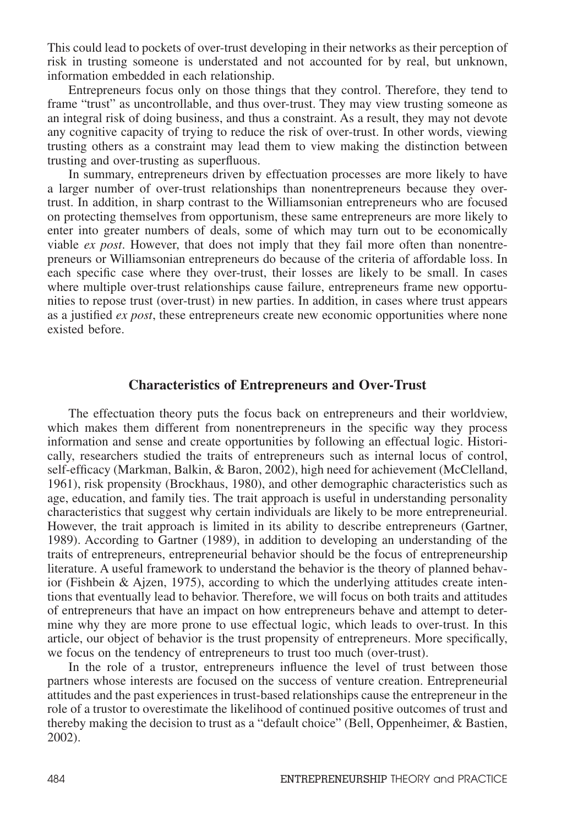This could lead to pockets of over-trust developing in their networks as their perception of risk in trusting someone is understated and not accounted for by real, but unknown, information embedded in each relationship.

Entrepreneurs focus only on those things that they control. Therefore, they tend to frame "trust" as uncontrollable, and thus over-trust. They may view trusting someone as an integral risk of doing business, and thus a constraint. As a result, they may not devote any cognitive capacity of trying to reduce the risk of over-trust. In other words, viewing trusting others as a constraint may lead them to view making the distinction between trusting and over-trusting as superfluous.

In summary, entrepreneurs driven by effectuation processes are more likely to have a larger number of over-trust relationships than nonentrepreneurs because they overtrust. In addition, in sharp contrast to the Williamsonian entrepreneurs who are focused on protecting themselves from opportunism, these same entrepreneurs are more likely to enter into greater numbers of deals, some of which may turn out to be economically viable *ex post*. However, that does not imply that they fail more often than nonentrepreneurs or Williamsonian entrepreneurs do because of the criteria of affordable loss. In each specific case where they over-trust, their losses are likely to be small. In cases where multiple over-trust relationships cause failure, entrepreneurs frame new opportunities to repose trust (over-trust) in new parties. In addition, in cases where trust appears as a justified *ex post*, these entrepreneurs create new economic opportunities where none existed before.

#### **Characteristics of Entrepreneurs and Over-Trust**

The effectuation theory puts the focus back on entrepreneurs and their worldview, which makes them different from nonentrepreneurs in the specific way they process information and sense and create opportunities by following an effectual logic. Historically, researchers studied the traits of entrepreneurs such as internal locus of control, self-efficacy (Markman, Balkin, & Baron, 2002), high need for achievement (McClelland, 1961), risk propensity (Brockhaus, 1980), and other demographic characteristics such as age, education, and family ties. The trait approach is useful in understanding personality characteristics that suggest why certain individuals are likely to be more entrepreneurial. However, the trait approach is limited in its ability to describe entrepreneurs (Gartner, 1989). According to Gartner (1989), in addition to developing an understanding of the traits of entrepreneurs, entrepreneurial behavior should be the focus of entrepreneurship literature. A useful framework to understand the behavior is the theory of planned behavior (Fishbein & Ajzen, 1975), according to which the underlying attitudes create intentions that eventually lead to behavior. Therefore, we will focus on both traits and attitudes of entrepreneurs that have an impact on how entrepreneurs behave and attempt to determine why they are more prone to use effectual logic, which leads to over-trust. In this article, our object of behavior is the trust propensity of entrepreneurs. More specifically, we focus on the tendency of entrepreneurs to trust too much (over-trust).

In the role of a trustor, entrepreneurs influence the level of trust between those partners whose interests are focused on the success of venture creation. Entrepreneurial attitudes and the past experiences in trust-based relationships cause the entrepreneur in the role of a trustor to overestimate the likelihood of continued positive outcomes of trust and thereby making the decision to trust as a "default choice" (Bell, Oppenheimer, & Bastien, 2002).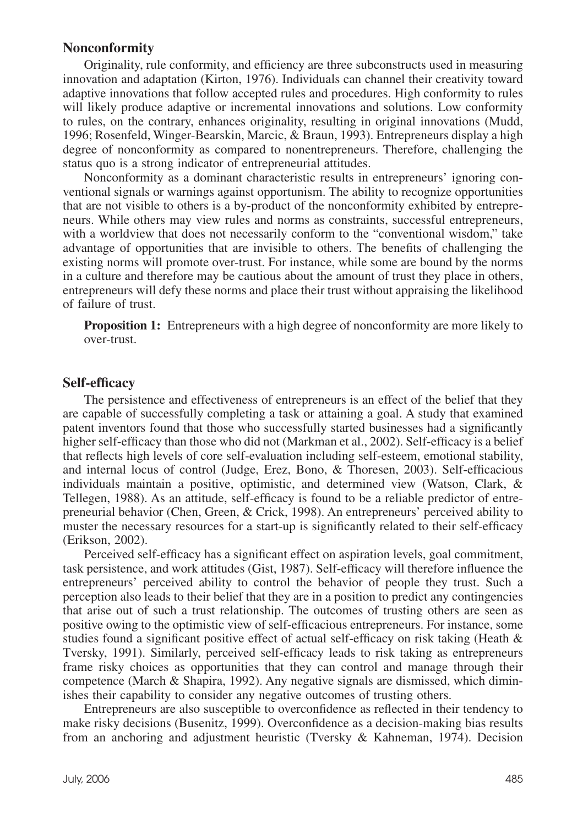#### **Nonconformity**

Originality, rule conformity, and efficiency are three subconstructs used in measuring innovation and adaptation (Kirton, 1976). Individuals can channel their creativity toward adaptive innovations that follow accepted rules and procedures. High conformity to rules will likely produce adaptive or incremental innovations and solutions. Low conformity to rules, on the contrary, enhances originality, resulting in original innovations (Mudd, 1996; Rosenfeld, Winger-Bearskin, Marcic, & Braun, 1993). Entrepreneurs display a high degree of nonconformity as compared to nonentrepreneurs. Therefore, challenging the status quo is a strong indicator of entrepreneurial attitudes.

Nonconformity as a dominant characteristic results in entrepreneurs' ignoring conventional signals or warnings against opportunism. The ability to recognize opportunities that are not visible to others is a by-product of the nonconformity exhibited by entrepreneurs. While others may view rules and norms as constraints, successful entrepreneurs, with a worldview that does not necessarily conform to the "conventional wisdom," take advantage of opportunities that are invisible to others. The benefits of challenging the existing norms will promote over-trust. For instance, while some are bound by the norms in a culture and therefore may be cautious about the amount of trust they place in others, entrepreneurs will defy these norms and place their trust without appraising the likelihood of failure of trust.

**Proposition 1:** Entrepreneurs with a high degree of nonconformity are more likely to over-trust.

#### **Self-efficacy**

The persistence and effectiveness of entrepreneurs is an effect of the belief that they are capable of successfully completing a task or attaining a goal. A study that examined patent inventors found that those who successfully started businesses had a significantly higher self-efficacy than those who did not (Markman et al., 2002). Self-efficacy is a belief that reflects high levels of core self-evaluation including self-esteem, emotional stability, and internal locus of control (Judge, Erez, Bono, & Thoresen, 2003). Self-efficacious individuals maintain a positive, optimistic, and determined view (Watson, Clark, & Tellegen, 1988). As an attitude, self-efficacy is found to be a reliable predictor of entrepreneurial behavior (Chen, Green, & Crick, 1998). An entrepreneurs' perceived ability to muster the necessary resources for a start-up is significantly related to their self-efficacy (Erikson, 2002).

Perceived self-efficacy has a significant effect on aspiration levels, goal commitment, task persistence, and work attitudes (Gist, 1987). Self-efficacy will therefore influence the entrepreneurs' perceived ability to control the behavior of people they trust. Such a perception also leads to their belief that they are in a position to predict any contingencies that arise out of such a trust relationship. The outcomes of trusting others are seen as positive owing to the optimistic view of self-efficacious entrepreneurs. For instance, some studies found a significant positive effect of actual self-efficacy on risk taking (Heath & Tversky, 1991). Similarly, perceived self-efficacy leads to risk taking as entrepreneurs frame risky choices as opportunities that they can control and manage through their competence (March & Shapira, 1992). Any negative signals are dismissed, which diminishes their capability to consider any negative outcomes of trusting others.

Entrepreneurs are also susceptible to overconfidence as reflected in their tendency to make risky decisions (Busenitz, 1999). Overconfidence as a decision-making bias results from an anchoring and adjustment heuristic (Tversky & Kahneman, 1974). Decision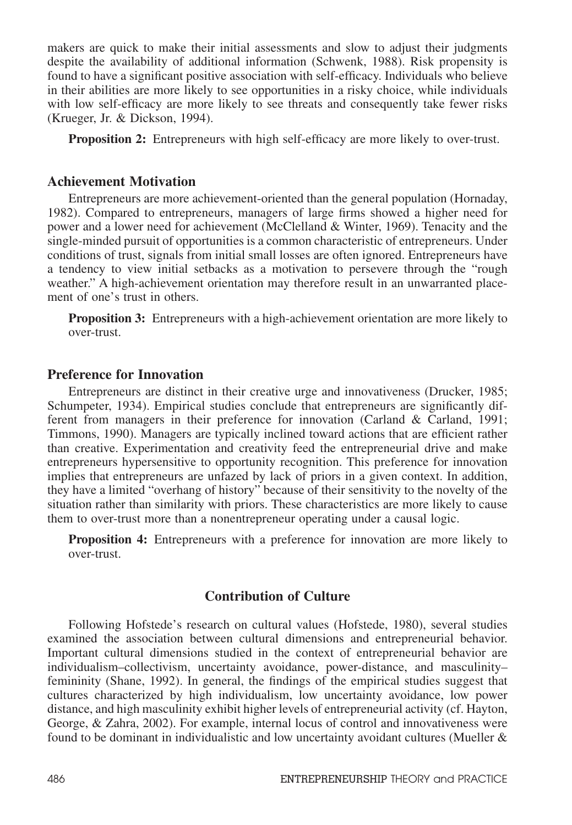makers are quick to make their initial assessments and slow to adjust their judgments despite the availability of additional information (Schwenk, 1988). Risk propensity is found to have a significant positive association with self-efficacy. Individuals who believe in their abilities are more likely to see opportunities in a risky choice, while individuals with low self-efficacy are more likely to see threats and consequently take fewer risks (Krueger, Jr. & Dickson, 1994).

**Proposition 2:** Entrepreneurs with high self-efficacy are more likely to over-trust.

#### **Achievement Motivation**

Entrepreneurs are more achievement-oriented than the general population (Hornaday, 1982). Compared to entrepreneurs, managers of large firms showed a higher need for power and a lower need for achievement (McClelland & Winter, 1969). Tenacity and the single-minded pursuit of opportunities is a common characteristic of entrepreneurs. Under conditions of trust, signals from initial small losses are often ignored. Entrepreneurs have a tendency to view initial setbacks as a motivation to persevere through the "rough weather." A high-achievement orientation may therefore result in an unwarranted placement of one's trust in others.

**Proposition 3:** Entrepreneurs with a high-achievement orientation are more likely to over-trust.

#### **Preference for Innovation**

Entrepreneurs are distinct in their creative urge and innovativeness (Drucker, 1985; Schumpeter, 1934). Empirical studies conclude that entrepreneurs are significantly different from managers in their preference for innovation (Carland & Carland, 1991; Timmons, 1990). Managers are typically inclined toward actions that are efficient rather than creative. Experimentation and creativity feed the entrepreneurial drive and make entrepreneurs hypersensitive to opportunity recognition. This preference for innovation implies that entrepreneurs are unfazed by lack of priors in a given context. In addition, they have a limited "overhang of history" because of their sensitivity to the novelty of the situation rather than similarity with priors. These characteristics are more likely to cause them to over-trust more than a nonentrepreneur operating under a causal logic.

**Proposition 4:** Entrepreneurs with a preference for innovation are more likely to over-trust.

#### **Contribution of Culture**

Following Hofstede's research on cultural values (Hofstede, 1980), several studies examined the association between cultural dimensions and entrepreneurial behavior. Important cultural dimensions studied in the context of entrepreneurial behavior are individualism–collectivism, uncertainty avoidance, power-distance, and masculinity– femininity (Shane, 1992). In general, the findings of the empirical studies suggest that cultures characterized by high individualism, low uncertainty avoidance, low power distance, and high masculinity exhibit higher levels of entrepreneurial activity (cf. Hayton, George, & Zahra, 2002). For example, internal locus of control and innovativeness were found to be dominant in individualistic and low uncertainty avoidant cultures (Mueller  $\&$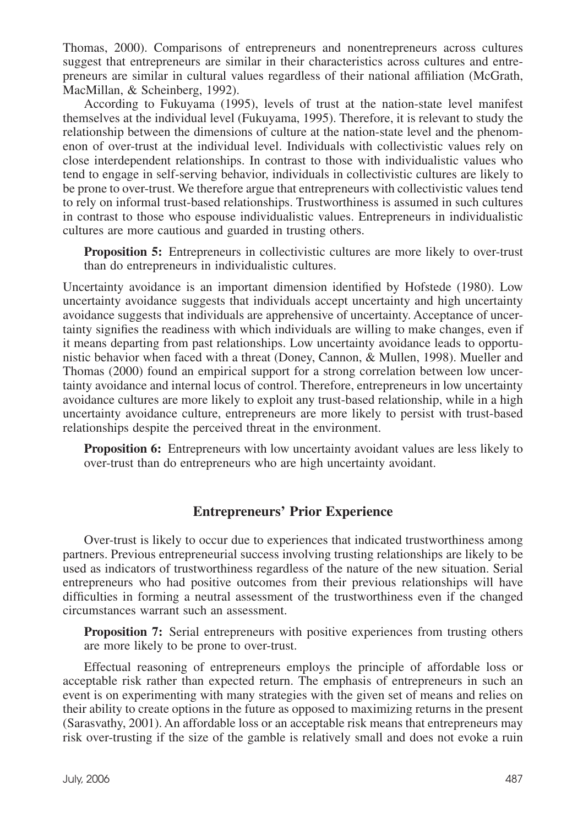Thomas, 2000). Comparisons of entrepreneurs and nonentrepreneurs across cultures suggest that entrepreneurs are similar in their characteristics across cultures and entrepreneurs are similar in cultural values regardless of their national affiliation (McGrath, MacMillan, & Scheinberg, 1992).

According to Fukuyama (1995), levels of trust at the nation-state level manifest themselves at the individual level (Fukuyama, 1995). Therefore, it is relevant to study the relationship between the dimensions of culture at the nation-state level and the phenomenon of over-trust at the individual level. Individuals with collectivistic values rely on close interdependent relationships. In contrast to those with individualistic values who tend to engage in self-serving behavior, individuals in collectivistic cultures are likely to be prone to over-trust. We therefore argue that entrepreneurs with collectivistic values tend to rely on informal trust-based relationships. Trustworthiness is assumed in such cultures in contrast to those who espouse individualistic values. Entrepreneurs in individualistic cultures are more cautious and guarded in trusting others.

**Proposition 5:** Entrepreneurs in collectivistic cultures are more likely to over-trust than do entrepreneurs in individualistic cultures.

Uncertainty avoidance is an important dimension identified by Hofstede (1980). Low uncertainty avoidance suggests that individuals accept uncertainty and high uncertainty avoidance suggests that individuals are apprehensive of uncertainty. Acceptance of uncertainty signifies the readiness with which individuals are willing to make changes, even if it means departing from past relationships. Low uncertainty avoidance leads to opportunistic behavior when faced with a threat (Doney, Cannon, & Mullen, 1998). Mueller and Thomas (2000) found an empirical support for a strong correlation between low uncertainty avoidance and internal locus of control. Therefore, entrepreneurs in low uncertainty avoidance cultures are more likely to exploit any trust-based relationship, while in a high uncertainty avoidance culture, entrepreneurs are more likely to persist with trust-based relationships despite the perceived threat in the environment.

**Proposition 6:** Entrepreneurs with low uncertainty avoidant values are less likely to over-trust than do entrepreneurs who are high uncertainty avoidant.

# **Entrepreneurs' Prior Experience**

Over-trust is likely to occur due to experiences that indicated trustworthiness among partners. Previous entrepreneurial success involving trusting relationships are likely to be used as indicators of trustworthiness regardless of the nature of the new situation. Serial entrepreneurs who had positive outcomes from their previous relationships will have difficulties in forming a neutral assessment of the trustworthiness even if the changed circumstances warrant such an assessment.

**Proposition 7:** Serial entrepreneurs with positive experiences from trusting others are more likely to be prone to over-trust.

Effectual reasoning of entrepreneurs employs the principle of affordable loss or acceptable risk rather than expected return. The emphasis of entrepreneurs in such an event is on experimenting with many strategies with the given set of means and relies on their ability to create options in the future as opposed to maximizing returns in the present (Sarasvathy, 2001). An affordable loss or an acceptable risk means that entrepreneurs may risk over-trusting if the size of the gamble is relatively small and does not evoke a ruin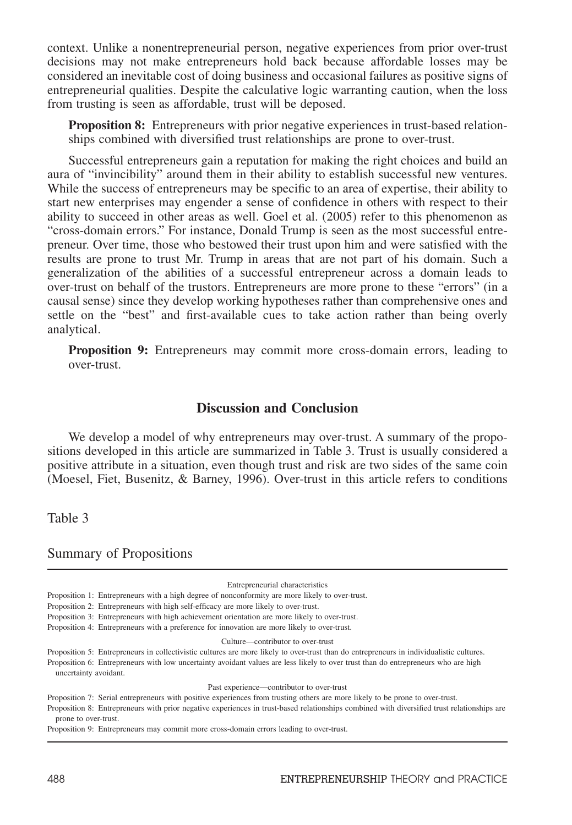context. Unlike a nonentrepreneurial person, negative experiences from prior over-trust decisions may not make entrepreneurs hold back because affordable losses may be considered an inevitable cost of doing business and occasional failures as positive signs of entrepreneurial qualities. Despite the calculative logic warranting caution, when the loss from trusting is seen as affordable, trust will be deposed.

**Proposition 8:** Entrepreneurs with prior negative experiences in trust-based relationships combined with diversified trust relationships are prone to over-trust.

Successful entrepreneurs gain a reputation for making the right choices and build an aura of "invincibility" around them in their ability to establish successful new ventures. While the success of entrepreneurs may be specific to an area of expertise, their ability to start new enterprises may engender a sense of confidence in others with respect to their ability to succeed in other areas as well. Goel et al. (2005) refer to this phenomenon as "cross-domain errors." For instance, Donald Trump is seen as the most successful entrepreneur. Over time, those who bestowed their trust upon him and were satisfied with the results are prone to trust Mr. Trump in areas that are not part of his domain. Such a generalization of the abilities of a successful entrepreneur across a domain leads to over-trust on behalf of the trustors. Entrepreneurs are more prone to these "errors" (in a causal sense) since they develop working hypotheses rather than comprehensive ones and settle on the "best" and first-available cues to take action rather than being overly analytical.

**Proposition 9:** Entrepreneurs may commit more cross-domain errors, leading to over-trust.

#### **Discussion and Conclusion**

We develop a model of why entrepreneurs may over-trust. A summary of the propositions developed in this article are summarized in Table 3. Trust is usually considered a positive attribute in a situation, even though trust and risk are two sides of the same coin (Moesel, Fiet, Busenitz, & Barney, 1996). Over-trust in this article refers to conditions

Table 3

Summary of Propositions

Entrepreneurial characteristics

Proposition 1: Entrepreneurs with a high degree of nonconformity are more likely to over-trust.

Proposition 2: Entrepreneurs with high self-efficacy are more likely to over-trust.

Proposition 3: Entrepreneurs with high achievement orientation are more likely to over-trust.

Proposition 4: Entrepreneurs with a preference for innovation are more likely to over-trust.

Culture––contributor to over-trust

Proposition 5: Entrepreneurs in collectivistic cultures are more likely to over-trust than do entrepreneurs in individualistic cultures.

Proposition 6: Entrepreneurs with low uncertainty avoidant values are less likely to over trust than do entrepreneurs who are high uncertainty avoidant.

Past experience––contributor to over-trust

Proposition 7: Serial entrepreneurs with positive experiences from trusting others are more likely to be prone to over-trust. Proposition 8: Entrepreneurs with prior negative experiences in trust-based relationships combined with diversified trust relationships are

prone to over-trust.

Proposition 9: Entrepreneurs may commit more cross-domain errors leading to over-trust.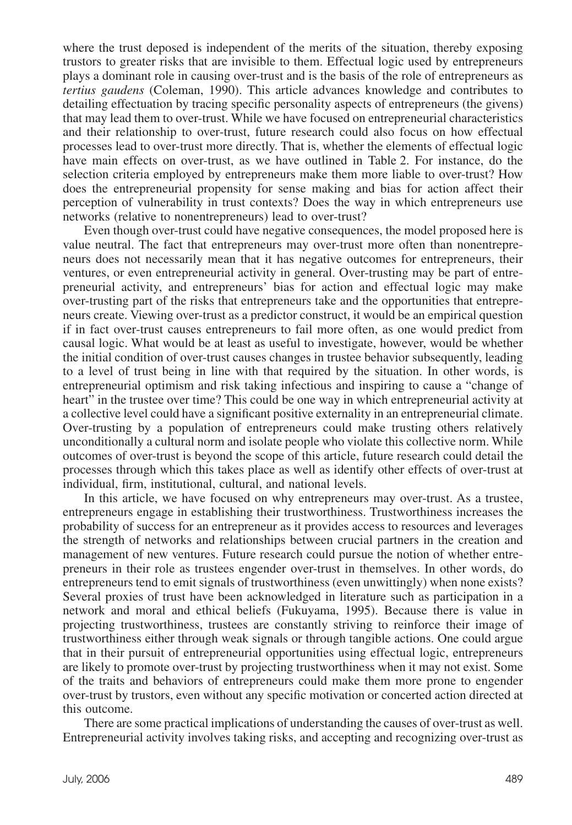where the trust deposed is independent of the merits of the situation, thereby exposing trustors to greater risks that are invisible to them. Effectual logic used by entrepreneurs plays a dominant role in causing over-trust and is the basis of the role of entrepreneurs as *tertius gaudens* (Coleman, 1990). This article advances knowledge and contributes to detailing effectuation by tracing specific personality aspects of entrepreneurs (the givens) that may lead them to over-trust. While we have focused on entrepreneurial characteristics and their relationship to over-trust, future research could also focus on how effectual processes lead to over-trust more directly. That is, whether the elements of effectual logic have main effects on over-trust, as we have outlined in Table 2. For instance, do the selection criteria employed by entrepreneurs make them more liable to over-trust? How does the entrepreneurial propensity for sense making and bias for action affect their perception of vulnerability in trust contexts? Does the way in which entrepreneurs use networks (relative to nonentrepreneurs) lead to over-trust?

Even though over-trust could have negative consequences, the model proposed here is value neutral. The fact that entrepreneurs may over-trust more often than nonentrepreneurs does not necessarily mean that it has negative outcomes for entrepreneurs, their ventures, or even entrepreneurial activity in general. Over-trusting may be part of entrepreneurial activity, and entrepreneurs' bias for action and effectual logic may make over-trusting part of the risks that entrepreneurs take and the opportunities that entrepreneurs create. Viewing over-trust as a predictor construct, it would be an empirical question if in fact over-trust causes entrepreneurs to fail more often, as one would predict from causal logic. What would be at least as useful to investigate, however, would be whether the initial condition of over-trust causes changes in trustee behavior subsequently, leading to a level of trust being in line with that required by the situation. In other words, is entrepreneurial optimism and risk taking infectious and inspiring to cause a "change of heart" in the trustee over time? This could be one way in which entrepreneurial activity at a collective level could have a significant positive externality in an entrepreneurial climate. Over-trusting by a population of entrepreneurs could make trusting others relatively unconditionally a cultural norm and isolate people who violate this collective norm. While outcomes of over-trust is beyond the scope of this article, future research could detail the processes through which this takes place as well as identify other effects of over-trust at individual, firm, institutional, cultural, and national levels.

In this article, we have focused on why entrepreneurs may over-trust. As a trustee, entrepreneurs engage in establishing their trustworthiness. Trustworthiness increases the probability of success for an entrepreneur as it provides access to resources and leverages the strength of networks and relationships between crucial partners in the creation and management of new ventures. Future research could pursue the notion of whether entrepreneurs in their role as trustees engender over-trust in themselves. In other words, do entrepreneurs tend to emit signals of trustworthiness (even unwittingly) when none exists? Several proxies of trust have been acknowledged in literature such as participation in a network and moral and ethical beliefs (Fukuyama, 1995). Because there is value in projecting trustworthiness, trustees are constantly striving to reinforce their image of trustworthiness either through weak signals or through tangible actions. One could argue that in their pursuit of entrepreneurial opportunities using effectual logic, entrepreneurs are likely to promote over-trust by projecting trustworthiness when it may not exist. Some of the traits and behaviors of entrepreneurs could make them more prone to engender over-trust by trustors, even without any specific motivation or concerted action directed at this outcome.

There are some practical implications of understanding the causes of over-trust as well. Entrepreneurial activity involves taking risks, and accepting and recognizing over-trust as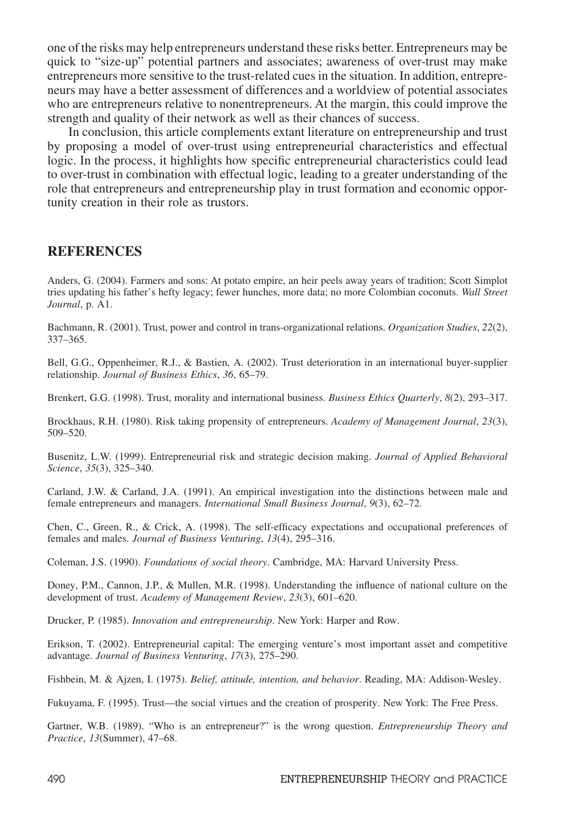one of the risks may help entrepreneurs understand these risks better. Entrepreneurs may be quick to "size-up" potential partners and associates; awareness of over-trust may make entrepreneurs more sensitive to the trust-related cues in the situation. In addition, entrepreneurs may have a better assessment of differences and a worldview of potential associates who are entrepreneurs relative to nonentrepreneurs. At the margin, this could improve the strength and quality of their network as well as their chances of success.

In conclusion, this article complements extant literature on entrepreneurship and trust by proposing a model of over-trust using entrepreneurial characteristics and effectual logic. In the process, it highlights how specific entrepreneurial characteristics could lead to over-trust in combination with effectual logic, leading to a greater understanding of the role that entrepreneurs and entrepreneurship play in trust formation and economic opportunity creation in their role as trustors.

#### **REFERENCES**

Anders, G. (2004). Farmers and sons: At potato empire, an heir peels away years of tradition; Scott Simplot tries updating his father's hefty legacy; fewer hunches, more data; no more Colombian coconuts. *Wall Street Journal*, p. A1.

Bachmann, R. (2001). Trust, power and control in trans-organizational relations. *Organization Studies*, *22*(2), 337–365.

Bell, G.G., Oppenheimer, R.J., & Bastien, A. (2002). Trust deterioration in an international buyer-supplier relationship. *Journal of Business Ethics*, *36*, 65–79.

Brenkert, G.G. (1998). Trust, morality and international business. *Business Ethics Quarterly*, *8*(2), 293–317.

Brockhaus, R.H. (1980). Risk taking propensity of entrepreneurs. *Academy of Management Journal*, *23*(3), 509–520.

Busenitz, L.W. (1999). Entrepreneurial risk and strategic decision making. *Journal of Applied Behavioral Science*, *35*(3), 325–340.

Carland, J.W. & Carland, J.A. (1991). An empirical investigation into the distinctions between male and female entrepreneurs and managers. *International Small Business Journal*, *9*(3), 62–72.

Chen, C., Green, R., & Crick, A. (1998). The self-efficacy expectations and occupational preferences of females and males. *Journal of Business Venturing*, *13*(4), 295–316.

Coleman, J.S. (1990). *Foundations of social theory*. Cambridge, MA: Harvard University Press.

Doney, P.M., Cannon, J.P., & Mullen, M.R. (1998). Understanding the influence of national culture on the development of trust. *Academy of Management Review*, *23*(3), 601–620.

Drucker, P. (1985). *Innovation and entrepreneurship*. New York: Harper and Row.

Erikson, T. (2002). Entrepreneurial capital: The emerging venture's most important asset and competitive advantage. *Journal of Business Venturing*, *17*(3), 275–290.

Fishbein, M. & Ajzen, I. (1975). *Belief, attitude, intention, and behavior*. Reading, MA: Addison-Wesley.

Fukuyama, F. (1995). Trust—the social virtues and the creation of prosperity. New York: The Free Press.

Gartner, W.B. (1989). "Who is an entrepreneur?" is the wrong question. *Entrepreneurship Theory and Practice*, *13*(Summer), 47–68.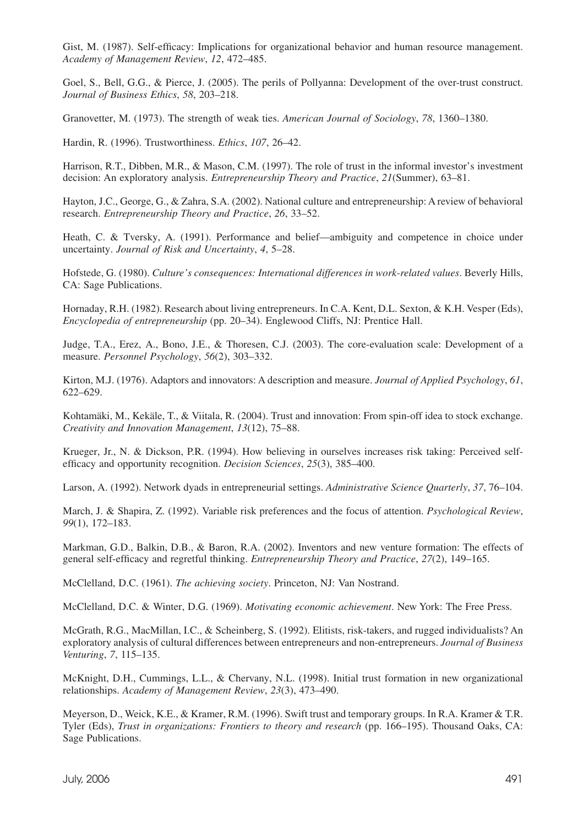Gist, M. (1987). Self-efficacy: Implications for organizational behavior and human resource management. *Academy of Management Review*, *12*, 472–485.

Goel, S., Bell, G.G., & Pierce, J. (2005). The perils of Pollyanna: Development of the over-trust construct. *Journal of Business Ethics*, *58*, 203–218.

Granovetter, M. (1973). The strength of weak ties. *American Journal of Sociology*, *78*, 1360–1380.

Hardin, R. (1996). Trustworthiness. *Ethics*, *107*, 26–42.

Harrison, R.T., Dibben, M.R., & Mason, C.M. (1997). The role of trust in the informal investor's investment decision: An exploratory analysis. *Entrepreneurship Theory and Practice*, *21*(Summer), 63–81.

Hayton, J.C., George, G., & Zahra, S.A. (2002). National culture and entrepreneurship: A review of behavioral research. *Entrepreneurship Theory and Practice*, *26*, 33–52.

Heath, C. & Tversky, A. (1991). Performance and belief—ambiguity and competence in choice under uncertainty. *Journal of Risk and Uncertainty*, *4*, 5–28.

Hofstede, G. (1980). *Culture's consequences: International differences in work-related values*. Beverly Hills, CA: Sage Publications.

Hornaday, R.H. (1982). Research about living entrepreneurs. In C.A. Kent, D.L. Sexton, & K.H. Vesper (Eds), *Encyclopedia of entrepreneurship* (pp. 20–34). Englewood Cliffs, NJ: Prentice Hall.

Judge, T.A., Erez, A., Bono, J.E., & Thoresen, C.J. (2003). The core-evaluation scale: Development of a measure. *Personnel Psychology*, *56*(2), 303–332.

Kirton, M.J. (1976). Adaptors and innovators: A description and measure. *Journal of Applied Psychology*, *61*, 622–629.

Kohtamäki, M., Kekäle, T., & Viitala, R. (2004). Trust and innovation: From spin-off idea to stock exchange. *Creativity and Innovation Management*, *13*(12), 75–88.

Krueger, Jr., N. & Dickson, P.R. (1994). How believing in ourselves increases risk taking: Perceived selfefficacy and opportunity recognition. *Decision Sciences*, *25*(3), 385–400.

Larson, A. (1992). Network dyads in entrepreneurial settings. *Administrative Science Quarterly*, *37*, 76–104.

March, J. & Shapira, Z. (1992). Variable risk preferences and the focus of attention. *Psychological Review*, *99*(1), 172–183.

Markman, G.D., Balkin, D.B., & Baron, R.A. (2002). Inventors and new venture formation: The effects of general self-efficacy and regretful thinking. *Entrepreneurship Theory and Practice*, *27*(2), 149–165.

McClelland, D.C. (1961). *The achieving society*. Princeton, NJ: Van Nostrand.

McClelland, D.C. & Winter, D.G. (1969). *Motivating economic achievement*. New York: The Free Press.

McGrath, R.G., MacMillan, I.C., & Scheinberg, S. (1992). Elitists, risk-takers, and rugged individualists? An exploratory analysis of cultural differences between entrepreneurs and non-entrepreneurs. *Journal of Business Venturing*, *7*, 115–135.

McKnight, D.H., Cummings, L.L., & Chervany, N.L. (1998). Initial trust formation in new organizational relationships. *Academy of Management Review*, *23*(3), 473–490.

Meyerson, D., Weick, K.E., & Kramer, R.M. (1996). Swift trust and temporary groups. In R.A. Kramer & T.R. Tyler (Eds), *Trust in organizations: Frontiers to theory and research* (pp. 166–195). Thousand Oaks, CA: Sage Publications.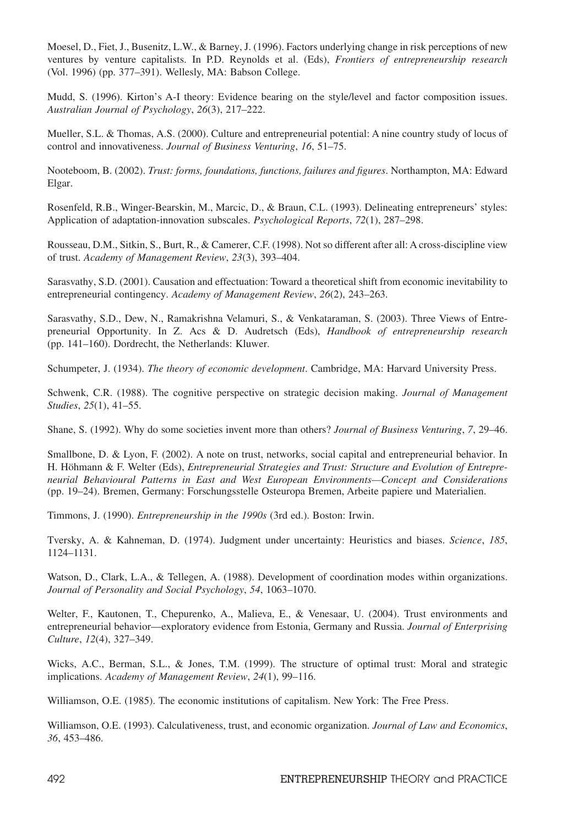Moesel, D., Fiet, J., Busenitz, L.W., & Barney, J. (1996). Factors underlying change in risk perceptions of new ventures by venture capitalists. In P.D. Reynolds et al. (Eds), *Frontiers of entrepreneurship research* (Vol. 1996) (pp. 377–391). Wellesly, MA: Babson College.

Mudd, S. (1996). Kirton's A-I theory: Evidence bearing on the style/level and factor composition issues. *Australian Journal of Psychology*, *26*(3), 217–222.

Mueller, S.L. & Thomas, A.S. (2000). Culture and entrepreneurial potential: A nine country study of locus of control and innovativeness. *Journal of Business Venturing*, *16*, 51–75.

Nooteboom, B. (2002). *Trust: forms, foundations, functions, failures and figures*. Northampton, MA: Edward Elgar.

Rosenfeld, R.B., Winger-Bearskin, M., Marcic, D., & Braun, C.L. (1993). Delineating entrepreneurs' styles: Application of adaptation-innovation subscales. *Psychological Reports*, *72*(1), 287–298.

Rousseau, D.M., Sitkin, S., Burt, R., & Camerer, C.F. (1998). Not so different after all: A cross-discipline view of trust. *Academy of Management Review*, *23*(3), 393–404.

Sarasvathy, S.D. (2001). Causation and effectuation: Toward a theoretical shift from economic inevitability to entrepreneurial contingency. *Academy of Management Review*, *26*(2), 243–263.

Sarasvathy, S.D., Dew, N., Ramakrishna Velamuri, S., & Venkataraman, S. (2003). Three Views of Entrepreneurial Opportunity. In Z. Acs & D. Audretsch (Eds), *Handbook of entrepreneurship research* (pp. 141–160). Dordrecht, the Netherlands: Kluwer.

Schumpeter, J. (1934). *The theory of economic development*. Cambridge, MA: Harvard University Press.

Schwenk, C.R. (1988). The cognitive perspective on strategic decision making. *Journal of Management Studies*, *25*(1), 41–55.

Shane, S. (1992). Why do some societies invent more than others? *Journal of Business Venturing*, *7*, 29–46.

Smallbone, D. & Lyon, F. (2002). A note on trust, networks, social capital and entrepreneurial behavior. In H. Höhmann & F. Welter (Eds), *Entrepreneurial Strategies and Trust: Structure and Evolution of Entrepreneurial Behavioural Patterns in East and West European Environments—Concept and Considerations* (pp. 19–24). Bremen, Germany: Forschungsstelle Osteuropa Bremen, Arbeite papiere und Materialien.

Timmons, J. (1990). *Entrepreneurship in the 1990s* (3rd ed.). Boston: Irwin.

Tversky, A. & Kahneman, D. (1974). Judgment under uncertainty: Heuristics and biases. *Science*, *185*, 1124–1131.

Watson, D., Clark, L.A., & Tellegen, A. (1988). Development of coordination modes within organizations. *Journal of Personality and Social Psychology*, *54*, 1063–1070.

Welter, F., Kautonen, T., Chepurenko, A., Malieva, E., & Venesaar, U. (2004). Trust environments and entrepreneurial behavior—exploratory evidence from Estonia, Germany and Russia. *Journal of Enterprising Culture*, *12*(4), 327–349.

Wicks, A.C., Berman, S.L., & Jones, T.M. (1999). The structure of optimal trust: Moral and strategic implications. *Academy of Management Review*, *24*(1), 99–116.

Williamson, O.E. (1985). The economic institutions of capitalism. New York: The Free Press.

Williamson, O.E. (1993). Calculativeness, trust, and economic organization. *Journal of Law and Economics*, *36*, 453–486.